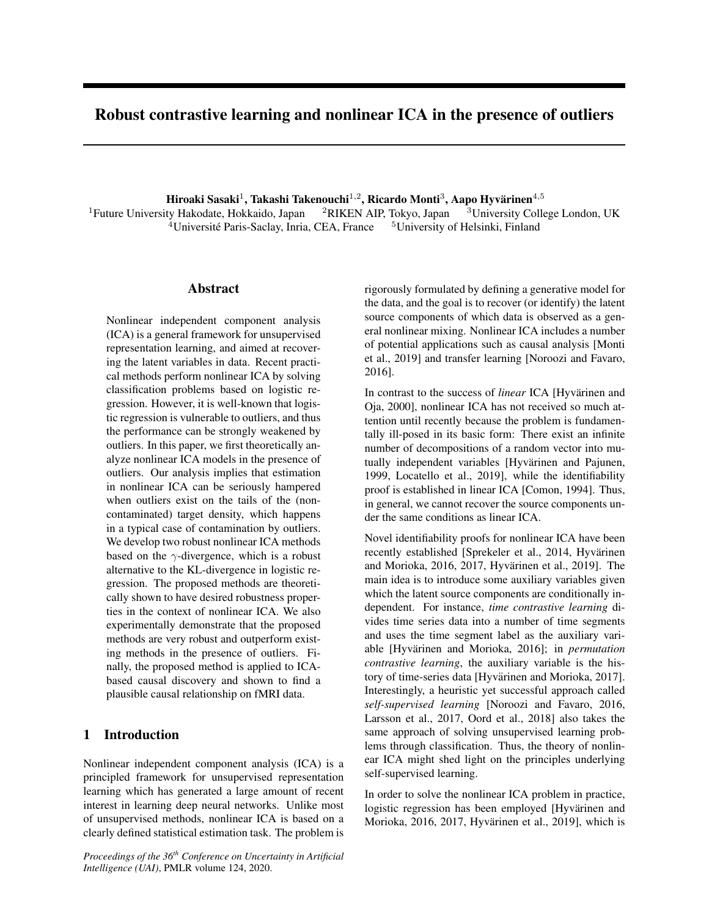# Robust contrastive learning and nonlinear ICA in the presence of outliers

Hiroaki Sasaki $^1$ , Takashi Takenouchi $^{1,2}$ , Ricardo Monti $^3$ , Aapo Hyvärinen $^{4,5}$ 

<sup>1</sup>Future University Hakodate, Hokkaido, Japan <sup>2</sup>RIKEN AIP, Tokyo, Japan <sup>3</sup>University College London, UK <sup>4</sup>Universite Paris-Saclay, Inria, CEA, France ´ <sup>5</sup>University of Helsinki, Finland

# Abstract

Nonlinear independent component analysis (ICA) is a general framework for unsupervised representation learning, and aimed at recovering the latent variables in data. Recent practical methods perform nonlinear ICA by solving classification problems based on logistic regression. However, it is well-known that logistic regression is vulnerable to outliers, and thus the performance can be strongly weakened by outliers. In this paper, we first theoretically analyze nonlinear ICA models in the presence of outliers. Our analysis implies that estimation in nonlinear ICA can be seriously hampered when outliers exist on the tails of the (noncontaminated) target density, which happens in a typical case of contamination by outliers. We develop two robust nonlinear ICA methods based on the  $\gamma$ -divergence, which is a robust alternative to the KL-divergence in logistic regression. The proposed methods are theoretically shown to have desired robustness properties in the context of nonlinear ICA. We also experimentally demonstrate that the proposed methods are very robust and outperform existing methods in the presence of outliers. Finally, the proposed method is applied to ICAbased causal discovery and shown to find a plausible causal relationship on fMRI data.

# 1 Introduction

Nonlinear independent component analysis (ICA) is a principled framework for unsupervised representation learning which has generated a large amount of recent interest in learning deep neural networks. Unlike most of unsupervised methods, nonlinear ICA is based on a clearly defined statistical estimation task. The problem is rigorously formulated by defining a generative model for the data, and the goal is to recover (or identify) the latent source components of which data is observed as a general nonlinear mixing. Nonlinear ICA includes a number of potential applications such as causal analysis [Monti et al., 2019] and transfer learning [Noroozi and Favaro, 2016].

In contrast to the success of *linear* ICA [Hyvärinen and Oja, 2000], nonlinear ICA has not received so much attention until recently because the problem is fundamentally ill-posed in its basic form: There exist an infinite number of decompositions of a random vector into mutually independent variables [Hyvärinen and Pajunen, 1999, Locatello et al., 2019], while the identifiability proof is established in linear ICA [Comon, 1994]. Thus, in general, we cannot recover the source components under the same conditions as linear ICA.

Novel identifiability proofs for nonlinear ICA have been recently established [Sprekeler et al., 2014, Hyvärinen and Morioka, 2016, 2017, Hyvärinen et al., 2019]. The main idea is to introduce some auxiliary variables given which the latent source components are conditionally independent. For instance, *time contrastive learning* divides time series data into a number of time segments and uses the time segment label as the auxiliary variable [Hyvärinen and Morioka, 2016]; in *permutation contrastive learning*, the auxiliary variable is the history of time-series data [Hyvärinen and Morioka, 2017]. Interestingly, a heuristic yet successful approach called *self-supervised learning* [Noroozi and Favaro, 2016, Larsson et al., 2017, Oord et al., 2018] also takes the same approach of solving unsupervised learning problems through classification. Thus, the theory of nonlinear ICA might shed light on the principles underlying self-supervised learning.

In order to solve the nonlinear ICA problem in practice, logistic regression has been employed [Hyvärinen and Morioka, 2016, 2017, Hyvärinen et al., 2019], which is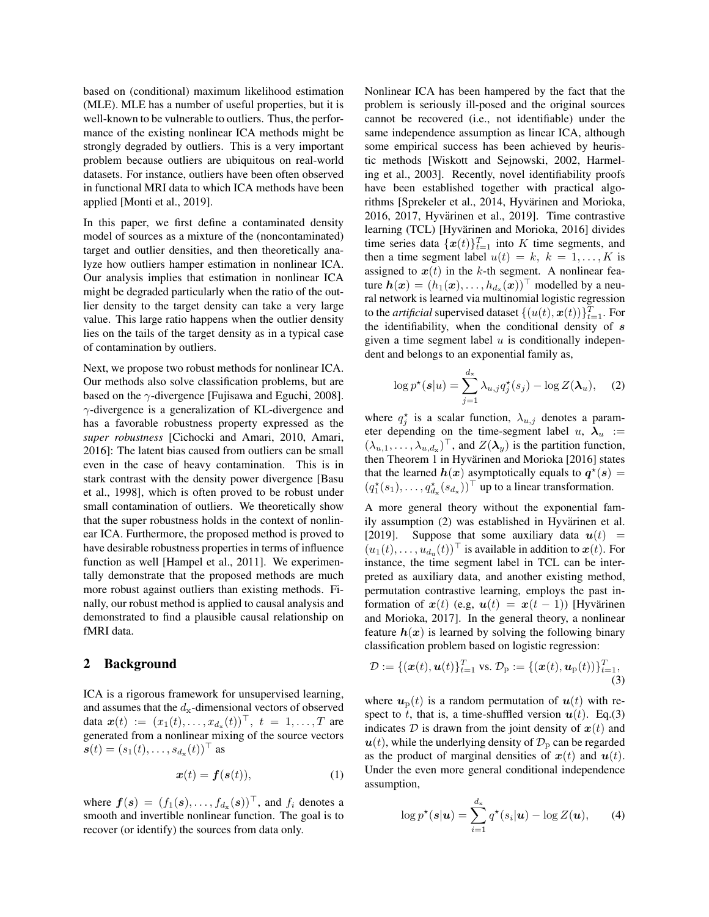based on (conditional) maximum likelihood estimation (MLE). MLE has a number of useful properties, but it is well-known to be vulnerable to outliers. Thus, the performance of the existing nonlinear ICA methods might be strongly degraded by outliers. This is a very important problem because outliers are ubiquitous on real-world datasets. For instance, outliers have been often observed in functional MRI data to which ICA methods have been applied [Monti et al., 2019].

In this paper, we first define a contaminated density model of sources as a mixture of the (noncontaminated) target and outlier densities, and then theoretically analyze how outliers hamper estimation in nonlinear ICA. Our analysis implies that estimation in nonlinear ICA might be degraded particularly when the ratio of the outlier density to the target density can take a very large value. This large ratio happens when the outlier density lies on the tails of the target density as in a typical case of contamination by outliers.

Next, we propose two robust methods for nonlinear ICA. Our methods also solve classification problems, but are based on the  $\gamma$ -divergence [Fujisawa and Eguchi, 2008].  $\gamma$ -divergence is a generalization of KL-divergence and has a favorable robustness property expressed as the *super robustness* [Cichocki and Amari, 2010, Amari, 2016]: The latent bias caused from outliers can be small even in the case of heavy contamination. This is in stark contrast with the density power divergence [Basu et al., 1998], which is often proved to be robust under small contamination of outliers. We theoretically show that the super robustness holds in the context of nonlinear ICA. Furthermore, the proposed method is proved to have desirable robustness properties in terms of influence function as well [Hampel et al., 2011]. We experimentally demonstrate that the proposed methods are much more robust against outliers than existing methods. Finally, our robust method is applied to causal analysis and demonstrated to find a plausible causal relationship on fMRI data.

## 2 Background

ICA is a rigorous framework for unsupervised learning, and assumes that the  $d_x$ -dimensional vectors of observed data  $\bm{x}(t) := (x_1(t), \ldots, x_{d_{\mathbf{x}}}(t))^\top, t = 1, \ldots, T$  are generated from a nonlinear mixing of the source vectors  $\bm{s}(t) = (s_1(t), \ldots, s_{d_{\mathrm{x}}}(t))^{\top}$  as

$$
\boldsymbol{x}(t) = \boldsymbol{f}(\boldsymbol{s}(t)),\tag{1}
$$

where  $f(s) = (f_1(s), \ldots, f_{d_x}(s))^{\top}$ , and  $f_i$  denotes a smooth and invertible nonlinear function. The goal is to recover (or identify) the sources from data only.

Nonlinear ICA has been hampered by the fact that the problem is seriously ill-posed and the original sources cannot be recovered (i.e., not identifiable) under the same independence assumption as linear ICA, although some empirical success has been achieved by heuristic methods [Wiskott and Sejnowski, 2002, Harmeling et al., 2003]. Recently, novel identifiability proofs have been established together with practical algorithms [Sprekeler et al., 2014, Hyvärinen and Morioka, 2016, 2017, Hyvärinen et al., 2019]. Time contrastive learning (TCL) [Hyvärinen and Morioka, 2016] divides time series data  $\{\boldsymbol{x}(t)\}_{t=1}^T$  into K time segments, and then a time segment label  $u(t) = k$ ,  $k = 1, ..., K$  is assigned to  $x(t)$  in the k-th segment. A nonlinear feature  $\boldsymbol{h}(\boldsymbol{x}) = (h_1(\boldsymbol{x}), \dots, h_{d_\mathbf{x}}(\boldsymbol{x}))^\top$  modelled by a neural network is learned via multinomial logistic regression to the *artificial* supervised dataset  $\{(u(t), \boldsymbol{x}(t))\}_{t=1}^T$ . For the identifiability, when the conditional density of  $s$ given a time segment label  $u$  is conditionally independent and belongs to an exponential family as,

$$
\log p^{\star}(\boldsymbol{s}|u) = \sum_{j=1}^{d_{\mathbf{x}}} \lambda_{u,j} q_j^{\star}(s_j) - \log Z(\boldsymbol{\lambda}_u), \quad (2)
$$

where  $q_j^*$  is a scalar function,  $\lambda_{u,j}$  denotes a parameter depending on the time-segment label u,  $\lambda_u$  :=  $(\lambda_{u,1}, \dots, \lambda_{u,d_x})^{\top}$ , and  $Z(\lambda_y)$  is the partition function, then Theorem 1 in Hyvärinen and Morioka [2016] states that the learned  $h(x)$  asymptotically equals to  $q^*(s) =$  $(q_1^*(s_1), \ldots, q_{d_x}^*(s_{d_x}))^{\top}$  up to a linear transformation.

A more general theory without the exponential family assumption (2) was established in Hyvärinen et al. [2019]. Suppose that some auxiliary data  $u(t)$  =  $(u_1(t), \ldots, u_{d_u}(t))$ <sup>T</sup> is available in addition to  $\boldsymbol{x}(t)$ . For instance, the time segment label in TCL can be interpreted as auxiliary data, and another existing method, permutation contrastive learning, employs the past information of  $x(t)$  (e.g,  $u(t) = x(t-1)$ ) [Hyvärinen and Morioka, 2017]. In the general theory, a nonlinear feature  $h(x)$  is learned by solving the following binary classification problem based on logistic regression:

$$
\mathcal{D} := \{(\mathbf{x}(t), \mathbf{u}(t))_{t=1}^T \text{ vs. } \mathcal{D}_p := \{(\mathbf{x}(t), \mathbf{u}_p(t))\}_{t=1}^T,\tag{3}
$$

where  $u_p(t)$  is a random permutation of  $u(t)$  with respect to t, that is, a time-shuffled version  $u(t)$ . Eq.(3) indicates  $D$  is drawn from the joint density of  $x(t)$  and  $u(t)$ , while the underlying density of  $\mathcal{D}_p$  can be regarded as the product of marginal densities of  $x(t)$  and  $u(t)$ . Under the even more general conditional independence assumption,

$$
\log p^{\star}(\boldsymbol{s}|\boldsymbol{u}) = \sum_{i=1}^{d_{\mathbf{x}}} q^{\star}(s_i|\boldsymbol{u}) - \log Z(\boldsymbol{u}), \qquad (4)
$$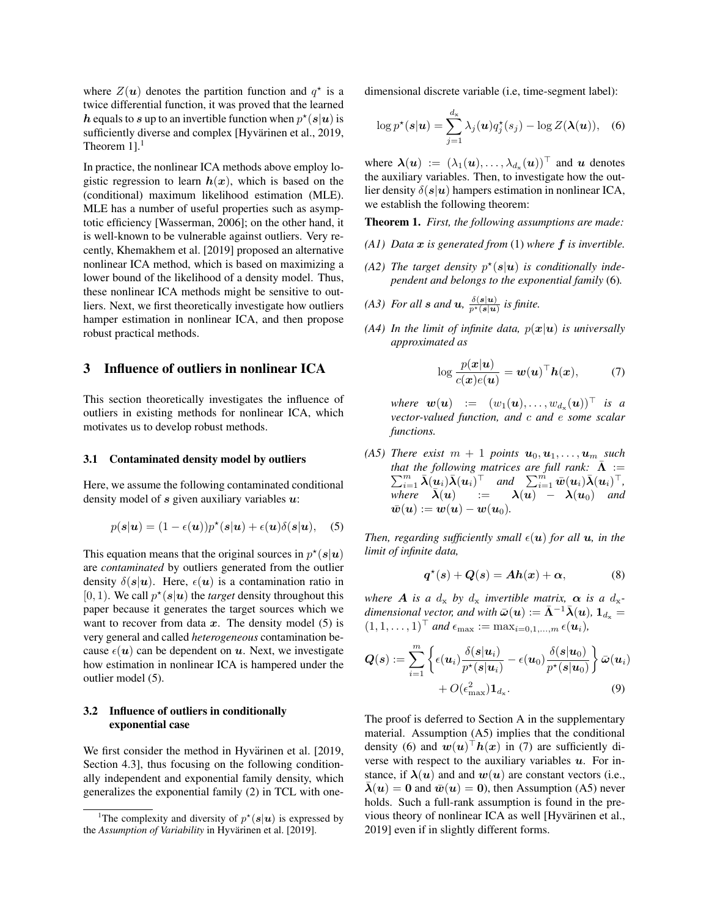where  $Z(u)$  denotes the partition function and  $q^*$  is a twice differential function, it was proved that the learned h equals to s up to an invertible function when  $p^*(s|u)$  is sufficiently diverse and complex [Hyvärinen et al., 2019, Theorem  $1$ ].<sup>1</sup>

In practice, the nonlinear ICA methods above employ logistic regression to learn  $h(x)$ , which is based on the (conditional) maximum likelihood estimation (MLE). MLE has a number of useful properties such as asymptotic efficiency [Wasserman, 2006]; on the other hand, it is well-known to be vulnerable against outliers. Very recently, Khemakhem et al. [2019] proposed an alternative nonlinear ICA method, which is based on maximizing a lower bound of the likelihood of a density model. Thus, these nonlinear ICA methods might be sensitive to outliers. Next, we first theoretically investigate how outliers hamper estimation in nonlinear ICA, and then propose robust practical methods.

## 3 Influence of outliers in nonlinear ICA

This section theoretically investigates the influence of outliers in existing methods for nonlinear ICA, which motivates us to develop robust methods.

### 3.1 Contaminated density model by outliers

Here, we assume the following contaminated conditional density model of  $s$  given auxiliary variables  $u$ :

$$
p(\boldsymbol{s}|\boldsymbol{u}) = (1 - \epsilon(\boldsymbol{u}))p^*(\boldsymbol{s}|\boldsymbol{u}) + \epsilon(\boldsymbol{u})\delta(\boldsymbol{s}|\boldsymbol{u}), \quad (5)
$$

This equation means that the original sources in  $p^*(s|u)$ are *contaminated* by outliers generated from the outlier density  $\delta(s|u)$ . Here,  $\epsilon(u)$  is a contamination ratio in  $[0, 1)$ . We call  $p^*(s | u)$  the *target* density throughout this paper because it generates the target sources which we want to recover from data  $x$ . The density model (5) is very general and called *heterogeneous* contamination because  $\epsilon(\mathbf{u})$  can be dependent on  $\mathbf{u}$ . Next, we investigate how estimation in nonlinear ICA is hampered under the outlier model (5).

### 3.2 Influence of outliers in conditionally exponential case

We first consider the method in Hyvärinen et al. [2019, Section 4.3], thus focusing on the following conditionally independent and exponential family density, which generalizes the exponential family (2) in TCL with onedimensional discrete variable (i.e, time-segment label):

$$
\log p^{\star}(\boldsymbol{s}|\boldsymbol{u}) = \sum_{j=1}^{d_{\mathbf{x}}} \lambda_j(\boldsymbol{u}) q_j^{\star}(s_j) - \log Z(\boldsymbol{\lambda}(\boldsymbol{u})), \quad (6)
$$

where  $\boldsymbol{\lambda}(\boldsymbol{u}) := (\lambda_1(\boldsymbol{u}), \dots, \lambda_{d_{\mathrm{x}}}(\boldsymbol{u}))^\top$  and  $\boldsymbol{u}$  denotes the auxiliary variables. Then, to investigate how the outlier density  $\delta(s|u)$  hampers estimation in nonlinear ICA, we establish the following theorem:

Theorem 1. *First, the following assumptions are made:*

- *(A1) Data* x *is generated from* (1) *where* f *is invertible.*
- (A2) The target density  $p^*(s|u)$  is conditionally inde*pendent and belongs to the exponential family* (6)*.*
- *(A3)* For all **s** and **u**,  $\frac{\delta(s|u)}{p^*(s|u)}$  is finite.
- *(A4) In the limit of infinite data,*  $p(x|u)$  *is universally approximated as*

$$
\log \frac{p(\boldsymbol{x}|\boldsymbol{u})}{c(\boldsymbol{x})e(\boldsymbol{u})} = \boldsymbol{w}(\boldsymbol{u})^{\top} \boldsymbol{h}(\boldsymbol{x}), \qquad (7)
$$

where  $\bm{w}(\bm{u}) \ := \ (w_1(\bm{u}), \ldots, w_{d_\mathbf{x}}(\bm{u}))^\top$  is a *vector-valued function, and* c *and* e *some scalar functions.*

*(A5) There exist*  $m + 1$  *points*  $u_0, u_1, \ldots, u_m$  *such that the following matrices are full rank:*  $\bar{\Lambda}$  := that the following matrices are full rank:  $\Lambda := \sum_{i=1}^m \bar{\lambda}(\underline{u}_i) \bar{\lambda}(\underline{u}_i)^\top$  and  $\sum_{i=1}^m \bar{w}(u_i) \bar{\lambda}(\underline{u}_i)^\top$ , *where*  $\overline{\lambda}(u)$  :=  $\lambda(u)$  –  $\lambda(u_0)$  *and*  $\overline{\mathbf{w}}(\mathbf{u}) := \mathbf{w}(\mathbf{u}) - \mathbf{w}(\mathbf{u}_0).$ 

*Then, regarding sufficiently small*  $\epsilon(\mathbf{u})$  *for all*  $\mathbf{u}$ *, in the limit of infinite data,*

$$
q^*(s) + Q(s) = Ah(x) + \alpha, \tag{8}
$$

*where* **A** *is a*  $d_x$  *by*  $d_x$  *invertible matrix,*  $\alpha$  *is a*  $d_x$ *dimensional vector, and with*  $\bar{\boldsymbol{\omega}}(\boldsymbol{u}) := \bar{\boldsymbol{\Lambda}}^{-1} \bar{\boldsymbol{\lambda}}(\boldsymbol{u}), \boldsymbol{1}_{d_x} =$  $(1, 1, \ldots, 1)^\top$  and  $\epsilon_{\text{max}} := \max_{i=0,1,\ldots,m} \epsilon(\mathbf{u}_i)$ ,

$$
Q(s) := \sum_{i=1}^{m} \left\{ \epsilon(\boldsymbol{u}_i) \frac{\delta(s|\boldsymbol{u}_i)}{p^{\star}(s|\boldsymbol{u}_i)} - \epsilon(\boldsymbol{u}_0) \frac{\delta(s|\boldsymbol{u}_0)}{p^{\star}(s|\boldsymbol{u}_0)} \right\} \bar{\boldsymbol{\omega}}(\boldsymbol{u}_i) + O(\epsilon_{\max}^2) \mathbf{1}_{d_{\mathrm{x}}}.
$$
\n(9)

The proof is deferred to Section A in the supplementary material. Assumption (A5) implies that the conditional density (6) and  $w(u)^\top h(x)$  in (7) are sufficiently diverse with respect to the auxiliary variables  $u$ . For instance, if  $\lambda(u)$  and and  $w(u)$  are constant vectors (i.e.,  $\bar{\lambda}(u) = 0$  and  $\bar{w}(u) = 0$ ), then Assumption (A5) never holds. Such a full-rank assumption is found in the previous theory of nonlinear ICA as well [Hyvärinen et al., 2019] even if in slightly different forms.

<sup>&</sup>lt;sup>1</sup>The complexity and diversity of  $p^*(s|u)$  is expressed by the *Assumption of Variability* in Hyvärinen et al. [2019].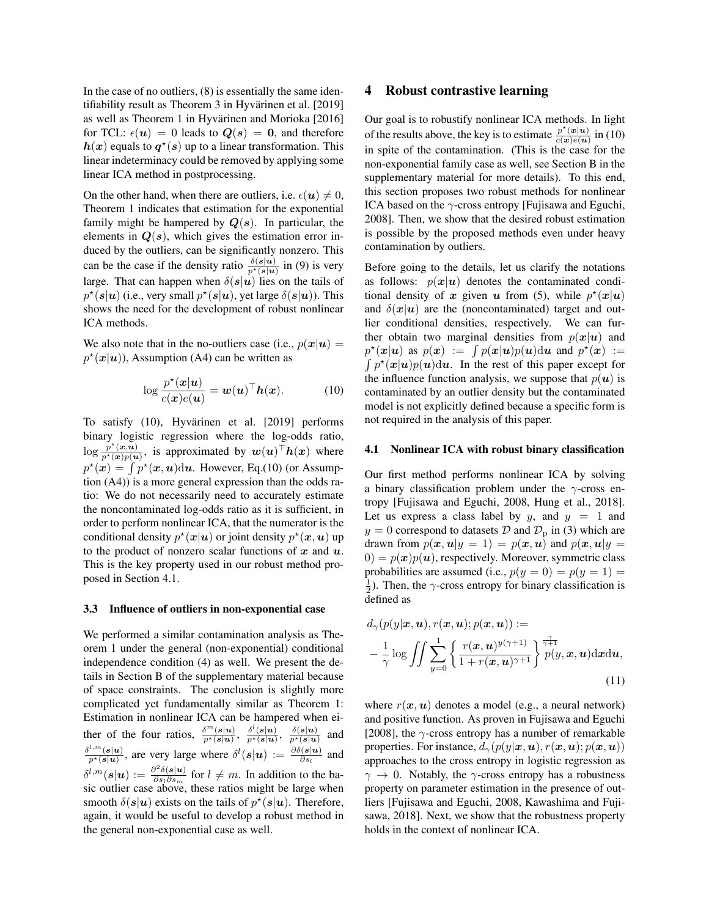In the case of no outliers, (8) is essentially the same identifiability result as Theorem 3 in Hyvärinen et al. [2019] as well as Theorem 1 in Hyvärinen and Morioka [2016] for TCL:  $\epsilon(\mathbf{u}) = 0$  leads to  $Q(s) = 0$ , and therefore  $h(x)$  equals to  $q^*(s)$  up to a linear transformation. This linear indeterminacy could be removed by applying some linear ICA method in postprocessing.

On the other hand, when there are outliers, i.e.  $\epsilon(\mathbf{u}) \neq 0$ , Theorem 1 indicates that estimation for the exponential family might be hampered by  $Q(s)$ . In particular, the elements in  $Q(s)$ , which gives the estimation error induced by the outliers, can be significantly nonzero. This can be the case if the density ratio  $\frac{\delta(s|u)}{p^*(s|u)}$  in (9) is very large. That can happen when  $\delta(s|u)$  lies on the tails of  $p^{\star}(s | u)$  (i.e., very small  $p^{\star}(s | u)$ , yet large  $\delta(s | u)$ ). This shows the need for the development of robust nonlinear ICA methods.

We also note that in the no-outliers case (i.e.,  $p(x|u) =$  $p^*(x|u)$ ), Assumption (A4) can be written as

$$
\log \frac{p^{\star}(\boldsymbol{x}|\boldsymbol{u})}{c(\boldsymbol{x})e(\boldsymbol{u})} = \boldsymbol{w}(\boldsymbol{u})^{\top} \boldsymbol{h}(\boldsymbol{x}). \tag{10}
$$

To satisfy (10), Hyvärinen et al. [2019] performs binary logistic regression where the log-odds ratio,  $\log \frac{p^*(x,u)}{p^*(x)p(u)}$ , is approximated by  $w(u)^\top h(x)$  where  $p^*(x) = \int p^*(x, u) \, du$ . However, Eq.(10) (or Assumption (A4)) is a more general expression than the odds ratio: We do not necessarily need to accurately estimate the noncontaminated log-odds ratio as it is sufficient, in order to perform nonlinear ICA, that the numerator is the conditional density  $p^*(x|u)$  or joint density  $p^*(x, u)$  up to the product of nonzero scalar functions of  $x$  and  $u$ . This is the key property used in our robust method proposed in Section 4.1.

### 3.3 Influence of outliers in non-exponential case

We performed a similar contamination analysis as Theorem 1 under the general (non-exponential) conditional independence condition (4) as well. We present the details in Section B of the supplementary material because of space constraints. The conclusion is slightly more complicated yet fundamentally similar as Theorem 1: Estimation in nonlinear ICA can be hampered when either of the four ratios,  $\frac{\delta^m(s|u)}{p^*(s|u)}, \frac{\delta^l(s|u)}{p^*(s|u)}, \frac{\delta(s|u)}{p^*(s|u)}$ and  $\delta^{l,m}(\boldsymbol{s}|\boldsymbol{u})$  $\frac{\partial f(x, h)}{\partial x}(s|u)$ , are very large where  $\delta^l(s|u) := \frac{\partial \delta(s|u)}{\partial s_l}$  and  $\delta^{l,m}(\boldsymbol{s}|\boldsymbol{u}) := \frac{\partial^2 \delta(\boldsymbol{s}|\boldsymbol{u})}{\partial \boldsymbol{s}_l \partial \boldsymbol{s}_l}$  $\frac{\partial^2 \delta(s|u)}{\partial s_l \partial s_m}$  for  $l \neq m$ . In addition to the basic outlier case above, these ratios might be large when smooth  $\delta(s|u)$  exists on the tails of  $p^*(s|u)$ . Therefore, again, it would be useful to develop a robust method in the general non-exponential case as well.

### 4 Robust contrastive learning

Our goal is to robustify nonlinear ICA methods. In light of the results above, the key is to estimate  $\frac{p^*(x|u)}{c(x)e(u)}$  $\frac{p(x|u)}{c(x)e(u)}$  in (10) in spite of the contamination. (This is the case for the non-exponential family case as well, see Section B in the supplementary material for more details). To this end, this section proposes two robust methods for nonlinear ICA based on the  $\gamma$ -cross entropy [Fujisawa and Eguchi, 2008]. Then, we show that the desired robust estimation is possible by the proposed methods even under heavy contamination by outliers.

Before going to the details, let us clarify the notations as follows:  $p(x|u)$  denotes the contaminated conditional density of x given u from (5), while  $p^*(x|u)$ and  $\delta(x|u)$  are the (noncontaminated) target and outlier conditional densities, respectively. We can further obtain two marginal densities from  $p(x|u)$  and  $p^{\star}(\boldsymbol{x}|\boldsymbol{u})$  as  $p(\boldsymbol{x}) := \int p(\boldsymbol{x}|\boldsymbol{u})p(\boldsymbol{u})d\boldsymbol{u}$  and  $p^{\star}(\boldsymbol{x}) :=$  $\int p^*(x|u)p(u)du$ . In the rest of this paper except for the influence function analysis, we suppose that  $p(u)$  is contaminated by an outlier density but the contaminated model is not explicitly defined because a specific form is not required in the analysis of this paper.

#### 4.1 Nonlinear ICA with robust binary classification

Our first method performs nonlinear ICA by solving a binary classification problem under the  $\gamma$ -cross entropy [Fujisawa and Eguchi, 2008, Hung et al., 2018]. Let us express a class label by y, and  $y = 1$  and  $y = 0$  correspond to datasets D and  $\mathcal{D}_{\rm p}$  in (3) which are drawn from  $p(x, u|y = 1) = p(x, u)$  and  $p(x, u|y = 1)$  $(0) = p(x)p(u)$ , respectively. Moreover, symmetric class probabilities are assumed (i.e.,  $p(y = 0) = p(y = 1)$ )  $\frac{1}{2}$ ). Then, the  $\gamma$ -cross entropy for binary classification is defined as

$$
d_{\gamma}(p(y|\boldsymbol{x}, \boldsymbol{u}), r(\boldsymbol{x}, \boldsymbol{u}); p(\boldsymbol{x}, \boldsymbol{u})) :=
$$
  

$$
- \frac{1}{\gamma} \log \iint \sum_{y=0}^{1} \left\{ \frac{r(\boldsymbol{x}, \boldsymbol{u})^{y(\gamma+1)}}{1 + r(\boldsymbol{x}, \boldsymbol{u})^{\gamma+1}} \right\} \bigg\}^{\frac{\gamma}{\gamma+1}} p(y, \boldsymbol{x}, \boldsymbol{u}) \mathrm{d} \boldsymbol{x} \mathrm{d} \boldsymbol{u},
$$
(11)

where  $r(x, u)$  denotes a model (e.g., a neural network) and positive function. As proven in Fujisawa and Eguchi [2008], the  $\gamma$ -cross entropy has a number of remarkable properties. For instance,  $d_{\gamma}(p(y|\mathbf{x}, \mathbf{u}), r(\mathbf{x}, \mathbf{u}); p(\mathbf{x}, \mathbf{u}))$ approaches to the cross entropy in logistic regression as  $\gamma \rightarrow 0$ . Notably, the  $\gamma$ -cross entropy has a robustness property on parameter estimation in the presence of outliers [Fujisawa and Eguchi, 2008, Kawashima and Fujisawa, 2018]. Next, we show that the robustness property holds in the context of nonlinear ICA.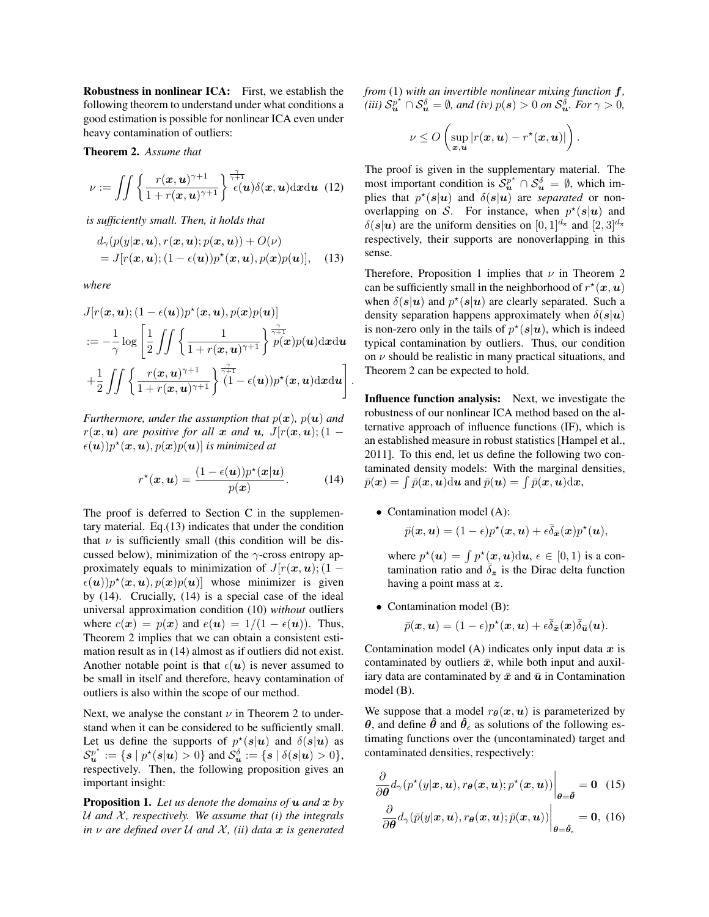Robustness in nonlinear ICA: First, we establish the following theorem to understand under what conditions a good estimation is possible for nonlinear ICA even under heavy contamination of outliers:

Theorem 2. *Assume that*

$$
\nu := \iint \left\{ \frac{r(\boldsymbol{x}, \boldsymbol{u})^{\gamma+1}}{1 + r(\boldsymbol{x}, \boldsymbol{u})^{\gamma+1}} \right\}^{\frac{\gamma}{\gamma+1}} \epsilon(\boldsymbol{u}) \delta(\boldsymbol{x}, \boldsymbol{u}) \mathrm{d} \boldsymbol{x} \mathrm{d} \boldsymbol{u} \tag{12}
$$

*is sufficiently small. Then, it holds that*

$$
d_{\gamma}(p(y|\boldsymbol{x}, \boldsymbol{u}), r(\boldsymbol{x}, \boldsymbol{u}); p(\boldsymbol{x}, \boldsymbol{u})) + O(\nu)
$$
  
= J[r(\boldsymbol{x}, \boldsymbol{u}); (1 - \epsilon(\boldsymbol{u}))p^\*(\boldsymbol{x}, \boldsymbol{u}), p(\boldsymbol{x})p(\boldsymbol{u})], (13)

*where*

$$
J[r(\boldsymbol{x}, \boldsymbol{u}); (1 - \epsilon(\boldsymbol{u}))p^{\star}(\boldsymbol{x}, \boldsymbol{u}), p(\boldsymbol{x})p(\boldsymbol{u})]
$$
  

$$
:= -\frac{1}{\gamma} \log \left[ \frac{1}{2} \iint \left\{ \frac{1}{1 + r(\boldsymbol{x}, \boldsymbol{u})^{\gamma+1}} \right\} \frac{\pi}{p(\boldsymbol{x})p(\boldsymbol{u}) d\boldsymbol{x} d\boldsymbol{u}} + \frac{1}{2} \iint \left\{ \frac{r(\boldsymbol{x}, \boldsymbol{u})^{\gamma+1}}{1 + r(\boldsymbol{x}, \boldsymbol{u})^{\gamma+1}} \right\} \frac{\pi}{(1 - \epsilon(\boldsymbol{u}))p^{\star}(\boldsymbol{x}, \boldsymbol{u}) d\boldsymbol{x} d\boldsymbol{u}} \right]
$$

*Furthermore, under the assumption that*  $p(x)$ *,*  $p(u)$  *and*  $r(x, u)$  *are positive for all* x *and* u,  $J[r(x, u)]$ ; (1 –  $\epsilon(\boldsymbol{u}))p^{\star}(\boldsymbol{x},\boldsymbol{u}), p(\boldsymbol{x})p(\boldsymbol{u})|$  is minimized at

$$
r^{\star}(\boldsymbol{x},\boldsymbol{u}) = \frac{(1 - \epsilon(\boldsymbol{u}))p^{\star}(\boldsymbol{x}|\boldsymbol{u})}{p(\boldsymbol{x})}.
$$
 (14)

The proof is deferred to Section C in the supplementary material. Eq.(13) indicates that under the condition that  $\nu$  is sufficiently small (this condition will be discussed below), minimization of the  $\gamma$ -cross entropy approximately equals to minimization of  $J[r(\mathbf{x},\mathbf{u});(1 \epsilon(\mathbf{u})p^*(\mathbf{x},\mathbf{u}), p(\mathbf{x})p(\mathbf{u})$  whose minimizer is given by (14). Crucially, (14) is a special case of the ideal universal approximation condition (10) *without* outliers where  $c(\mathbf{x}) = p(\mathbf{x})$  and  $e(\mathbf{u}) = 1/(1 - \epsilon(\mathbf{u}))$ . Thus, Theorem 2 implies that we can obtain a consistent estimation result as in (14) almost as if outliers did not exist. Another notable point is that  $\epsilon(\mathbf{u})$  is never assumed to be small in itself and therefore, heavy contamination of outliers is also within the scope of our method.

Next, we analyse the constant  $\nu$  in Theorem 2 to understand when it can be considered to be sufficiently small. Let us define the supports of  $p^*(s|u)$  and  $\delta(s|u)$  as  $\mathcal{S}_{\bm{u}}^{p^*} := \{ s \mid p^*(s | \bm{u}) > 0 \}$  and  $\mathcal{S}_{\bm{u}}^{\delta} := \{ s \mid \delta(s | \bm{u}) > 0 \},$ respectively. Then, the following proposition gives an important insight:

Proposition 1. *Let us denote the domains of* u *and* x *by* U *and* X *, respectively. We assume that (i) the integrals in*  $\nu$  *are defined over*  $U$  *and*  $X$ *, (ii) data*  $x$  *is generated*  *from* (1) *with an invertible nonlinear mixing function* f*,*  $\int (iii) S_{\bm u}^{\rho^*} \cap S_{\bm u}^\delta = \emptyset$ , and (iv)  $p(\bm s) > 0$  on  $S_{\bm u}^\delta$ . For  $\gamma > 0$ ,

$$
\nu \leq O\left(\sup_{\bm{x},\bm{u}}|r(\bm{x},\bm{u})-r^{\star}(\bm{x},\bm{u})|\right).
$$

The proof is given in the supplementary material. The most important condition is  $S_u^{p^*} \cap S_u^{\delta} = \emptyset$ , which implies that  $p^*(s|u)$  and  $\delta(s|u)$  are *separated* or nonoverlapping on S. For instance, when  $p^*(s|u)$  and  $\delta(s|\mathbf{u})$  are the uniform densities on  $[0, 1]^{d_x}$  and  $[2, 3]^{d_x}$ respectively, their supports are nonoverlapping in this sense.

Therefore, Proposition 1 implies that  $\nu$  in Theorem 2 can be sufficiently small in the neighborhood of  $r^*(x, u)$ when  $\delta(s|u)$  and  $p^*(s|u)$  are clearly separated. Such a density separation happens approximately when  $\delta(s|u)$ is non-zero only in the tails of  $p^*(s|u)$ , which is indeed typical contamination by outliers. Thus, our condition on  $\nu$  should be realistic in many practical situations, and Theorem 2 can be expected to hold.

Influence function analysis: Next, we investigate the robustness of our nonlinear ICA method based on the alternative approach of influence functions (IF), which is an established measure in robust statistics [Hampel et al., 2011]. To this end, let us define the following two contaminated density models: With the marginal densities,  $\bar{p}(\bm{x}) = \int \bar{p}(\bm{x},\bm{u}) \mathrm{d}\bm{u}$  and  $\bar{p}(\bm{u}) = \int \bar{p}(\bm{x},\bm{u}) \mathrm{d}\bm{x}$ ,

• Contamination model (A):

.

$$
\bar{p}(\boldsymbol{x},\boldsymbol{u})=(1-\epsilon)p^{\star}(\boldsymbol{x},\boldsymbol{u})+\epsilon\bar{\delta}_{\bar{\boldsymbol{x}}}(\boldsymbol{x})p^{\star}(\boldsymbol{u}),
$$

where  $p^*(u) = \int p^*(x, u) \, du$ ,  $\epsilon \in [0, 1)$  is a contamination ratio and  $\overline{\delta}_{z}$  is the Dirac delta function having a point mass at z.

• Contamination model (B):

$$
\bar{p}(\boldsymbol{x},\boldsymbol{u})=(1-\epsilon)p^{\star}(\boldsymbol{x},\boldsymbol{u})+\epsilon\bar{\delta}_{\bar{\boldsymbol{x}}}(\boldsymbol{x})\bar{\delta}_{\bar{\boldsymbol{u}}}(\boldsymbol{u}).
$$

Contamination model (A) indicates only input data  $x$  is contaminated by outliers  $\bar{x}$ , while both input and auxiliary data are contaminated by  $\bar{x}$  and  $\bar{u}$  in Contamination model (B).

We suppose that a model  $r_{\theta}(x, u)$  is parameterized by  $\theta$ , and define  $\hat{\theta}$  and  $\hat{\theta}_{\epsilon}$  as solutions of the following estimating functions over the (uncontaminated) target and contaminated densities, respectively:

$$
\left. \frac{\partial}{\partial \boldsymbol{\theta}} d_{\gamma} (p^{\star}(y|\boldsymbol{x}, \boldsymbol{u}), r_{\boldsymbol{\theta}}(\boldsymbol{x}, \boldsymbol{u}); p^{\star}(\boldsymbol{x}, \boldsymbol{u})) \right|_{\boldsymbol{\theta} = \hat{\boldsymbol{\theta}}} = \mathbf{0} \quad (15)
$$

$$
\left.\frac{\partial}{\partial \boldsymbol{\theta}}d_{\gamma}(\bar{p}(y|\boldsymbol{x},\boldsymbol{u}),r_{\boldsymbol{\theta}}(\boldsymbol{x},\boldsymbol{u});\bar{p}(\boldsymbol{x},\boldsymbol{u}))\right|_{\boldsymbol{\theta}=\hat{\boldsymbol{\theta}}_{\epsilon}}=\boldsymbol{0},\ (16)
$$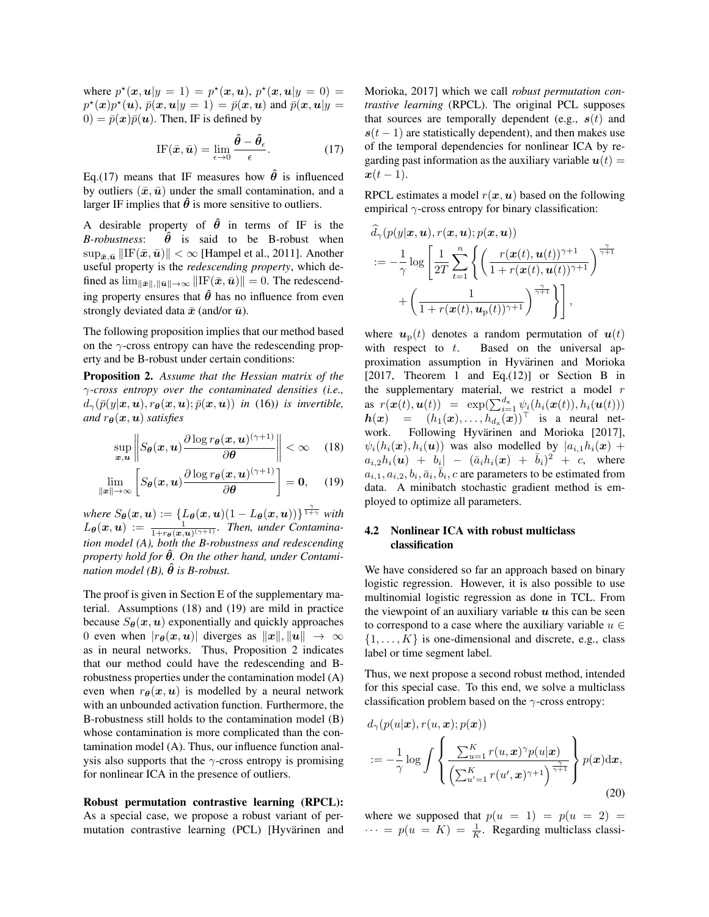where  $p^*(x, u|y = 1) = p^*(x, u), p^*(x, u|y = 0) = 1$  $p^{\star}(\boldsymbol{x})p^{\star}(\boldsymbol{u}),$   $\bar{p}(\boldsymbol{x},\boldsymbol{u}|y=1) = \bar{p}(\boldsymbol{x},\boldsymbol{u})$  and  $\bar{p}(\boldsymbol{x},\boldsymbol{u}|y=1)$  $0 = \bar{p}(\boldsymbol{x})\bar{p}(\boldsymbol{u})$ . Then, IF is defined by

IF
$$
(\bar{x}, \bar{u})
$$
 =  $\lim_{\epsilon \to 0} \frac{\hat{\theta} - \hat{\theta}_{\epsilon}}{\epsilon}$ . (17)

Eq.(17) means that IF measures how  $\hat{\theta}$  is influenced by outliers  $(\bar{x}, \bar{u})$  under the small contamination, and a larger IF implies that  $\hat{\theta}$  is more sensitive to outliers.

A desirable property of  $\hat{\theta}$  in terms of IF is the *B-robustness*:  $\hat{\theta}$  is said to be B-robust when  $\sup_{\bar{x},\bar{u}}\|\text{IF}(\bar{x},\bar{u})\| < \infty$  [Hampel et al., 2011]. Another useful property is the *redescending property*, which defined as  $\lim_{\|\bar{\mathbf{x}}\|,\|\bar{\mathbf{u}}\| \to \infty} \|\text{IF}(\bar{\mathbf{x}},\bar{\mathbf{u}})\| = 0$ . The redescending property ensures that  $\hat{\theta}$  has no influence from even strongly deviated data  $\bar{x}$  (and/or  $\bar{u}$ ).

The following proposition implies that our method based on the  $\gamma$ -cross entropy can have the redescending property and be B-robust under certain conditions:

Proposition 2. *Assume that the Hessian matrix of the* γ*-cross entropy over the contaminated densities (i.e.,*  $d_{\gamma}(\bar{p}(y|\mathbf{x},\mathbf{u}), r_{\theta}(\mathbf{x},\mathbf{u}); \bar{p}(\mathbf{x},\mathbf{u}))$  *in* (16)*) is invertible, and*  $r_{\theta}(x, u)$  *satisfies* 

$$
\sup_{\boldsymbol{x},\boldsymbol{u}} \left\| S_{\boldsymbol{\theta}}(\boldsymbol{x},\boldsymbol{u}) \frac{\partial \log r_{\boldsymbol{\theta}}(\boldsymbol{x},\boldsymbol{u})^{(\gamma+1)}}{\partial \boldsymbol{\theta}} \right\| < \infty \quad (18)
$$

$$
\lim_{\|\boldsymbol{x}\|\to\infty}\left[S_{\boldsymbol{\theta}}(\boldsymbol{x},\boldsymbol{u})\frac{\partial\log r_{\boldsymbol{\theta}}(\boldsymbol{x},\boldsymbol{u})^{(\gamma+1)}}{\partial\boldsymbol{\theta}}\right]=\boldsymbol{0},\quad(19)
$$

*where*  $S_{\theta}(\boldsymbol{x}, \boldsymbol{u}) := \{L_{\theta}(\boldsymbol{x}, \boldsymbol{u})(1 - L_{\theta}(\boldsymbol{x}, \boldsymbol{u}))\}^{\frac{\gamma}{1 + \gamma}}$  *with*  $L_{\theta}(x, u) := \frac{1}{1 + r_{\theta}(x, u)^{(\gamma + 1)}}$ *. Then, under Contamination model (A), both the B-robustness and redescending property hold for θ. On the other hand, under Contamination model* (B),  $\hat{\theta}$  *is B-robust.* 

The proof is given in Section E of the supplementary material. Assumptions (18) and (19) are mild in practice because  $S_{\theta}(\boldsymbol{x},\boldsymbol{u})$  exponentially and quickly approaches 0 even when  $|r_{\theta}(x, u)|$  diverges as  $||x||, ||u|| \rightarrow \infty$ as in neural networks. Thus, Proposition 2 indicates that our method could have the redescending and Brobustness properties under the contamination model (A) even when  $r_{\theta}(x, u)$  is modelled by a neural network with an unbounded activation function. Furthermore, the B-robustness still holds to the contamination model (B) whose contamination is more complicated than the contamination model (A). Thus, our influence function analysis also supports that the  $\gamma$ -cross entropy is promising for nonlinear ICA in the presence of outliers.

Robust permutation contrastive learning (RPCL): As a special case, we propose a robust variant of permutation contrastive learning (PCL) [Hyvärinen and Morioka, 2017] which we call *robust permutation contrastive learning* (RPCL). The original PCL supposes that sources are temporally dependent (e.g.,  $s(t)$ ) and  $s(t - 1)$  are statistically dependent), and then makes use of the temporal dependencies for nonlinear ICA by regarding past information as the auxiliary variable  $u(t) =$  $x(t-1)$ .

RPCL estimates a model  $r(x, u)$  based on the following empirical  $\gamma$ -cross entropy for binary classification:

$$
d_{\gamma}(p(y|\boldsymbol{x}, \boldsymbol{u}), r(\boldsymbol{x}, \boldsymbol{u}); p(\boldsymbol{x}, \boldsymbol{u}))
$$
  

$$
:= -\frac{1}{\gamma} \log \left[ \frac{1}{2T} \sum_{t=1}^{n} \left\{ \left( \frac{r(\boldsymbol{x}(t), \boldsymbol{u}(t))^{\gamma+1}}{1 + r(\boldsymbol{x}(t), \boldsymbol{u}(t))^{\gamma+1}} \right)^{\frac{\gamma}{\gamma+1}} + \left( \frac{1}{1 + r(\boldsymbol{x}(t), \boldsymbol{u}_{p}(t))^{\gamma+1}} \right)^{\frac{\gamma}{\gamma+1}} \right\} \right],
$$

where  $u_p(t)$  denotes a random permutation of  $u(t)$ with respect to  $t$ . Based on the universal approximation assumption in Hyvärinen and Morioka [2017, Theorem 1 and Eq.(12)] or Section B in the supplementary material, we restrict a model  $r$ as  $r(\boldsymbol{x}(t), \boldsymbol{u}(t)) = \exp(\sum_{i=1}^{d_{\mathbf{x}}} \psi_i(h_i(\boldsymbol{x}(t)), h_i(\boldsymbol{u}(t)))$  $h(x) = (h_1(x), \ldots, h_{d_x}(x))$ <sup>T</sup> is a neural network. Following Hyvärinen and Morioka [2017],  $\psi_i(h_i(\boldsymbol{x}), h_i(\boldsymbol{u}))$  was also modelled by  $|a_{i,1}h_i(\boldsymbol{x})| +$  $a_{i,2}h_i(\bm{u}) + b_i \vert - (\bar{a}_i h_i(\bm{x}) + \bar{b}_i)^2 + c$ , where  $a_{i,1}, a_{i,2}, b_i, \bar{a}_i, \bar{b}_i$ , c are parameters to be estimated from data. A minibatch stochastic gradient method is employed to optimize all parameters.

## 4.2 Nonlinear ICA with robust multiclass classification

We have considered so far an approach based on binary logistic regression. However, it is also possible to use multinomial logistic regression as done in TCL. From the viewpoint of an auxiliary variable  $u$  this can be seen to correspond to a case where the auxiliary variable  $u \in$  $\{1, \ldots, K\}$  is one-dimensional and discrete, e.g., class label or time segment label.

Thus, we next propose a second robust method, intended for this special case. To this end, we solve a multiclass classification problem based on the  $\gamma$ -cross entropy:

$$
d_{\gamma}(p(u|\boldsymbol{x}), r(u, \boldsymbol{x}); p(\boldsymbol{x}))
$$
  

$$
:= -\frac{1}{\gamma} \log \int \left\{ \frac{\sum_{u=1}^{K} r(u, \boldsymbol{x})^{\gamma} p(u|\boldsymbol{x})}{\left(\sum_{u'=1}^{K} r(u', \boldsymbol{x})^{\gamma+1}\right)^{\frac{\gamma}{\gamma+1}}} \right\} p(\boldsymbol{x}) d\boldsymbol{x},
$$
\n(20)

where we supposed that  $p(u = 1) = p(u = 2)$  $\cdots = p(u = K) = \frac{1}{K}$ . Regarding multiclass classi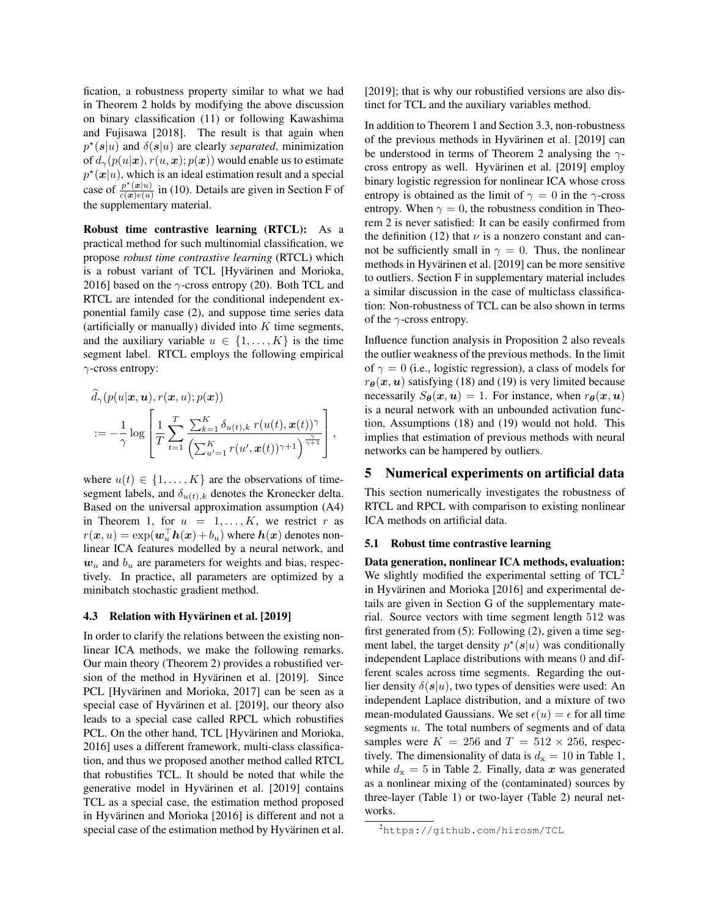fication, a robustness property similar to what we had in Theorem 2 holds by modifying the above discussion on binary classification (11) or following Kawashima and Fujisawa [2018]. The result is that again when  $p^*(s|u)$  and  $\delta(s|u)$  are clearly *separated*, minimization of  $d_{\gamma}(p(u|\mathbf{x}), r(u, \mathbf{x}); p(\mathbf{x}))$  would enable us to estimate  $p^*(x|u)$ , which is an ideal estimation result and a special case of  $\frac{p^*(x|u)}{c(x)e(u)}$  $\frac{p(x|u)}{c(x)e(u)}$  in (10). Details are given in Section F of the supplementary material.

Robust time contrastive learning (RTCL): As a practical method for such multinomial classification, we propose *robust time contrastive learning* (RTCL) which is a robust variant of TCL [Hyvärinen and Morioka, 2016] based on the  $\gamma$ -cross entropy (20). Both TCL and RTCL are intended for the conditional independent exponential family case (2), and suppose time series data (artificially or manually) divided into  $K$  time segments, and the auxiliary variable  $u \in \{1, \ldots, K\}$  is the time segment label. RTCL employs the following empirical γ-cross entropy:

$$
\widehat{d}_{\gamma}(p(u|\boldsymbol{x},\boldsymbol{u}),r(\boldsymbol{x},u);p(\boldsymbol{x}))
$$
\n
$$
:= -\frac{1}{\gamma} \log \left[ \frac{1}{T} \sum_{t=1}^{T} \frac{\sum_{k=1}^{K} \delta_{u(t),k} r(u(t), \boldsymbol{x}(t))^{\gamma}}{\left(\sum_{u'=1}^{K} r(u', \boldsymbol{x}(t))^{\gamma+1}\right)^{\frac{\gamma}{\gamma+1}}} \right],
$$

where  $u(t) \in \{1, \ldots, K\}$  are the observations of timesegment labels, and  $\delta_{u(t),k}$  denotes the Kronecker delta. Based on the universal approximation assumption (A4) in Theorem 1, for  $u = 1, \ldots, K$ , we restrict r as  $r(\boldsymbol{x}, u) = \exp(\boldsymbol{w}_u^{\top} \boldsymbol{h}(\boldsymbol{x}) + b_u)$  where  $\boldsymbol{h}(\boldsymbol{x})$  denotes nonlinear ICA features modelled by a neural network, and  $w_u$  and  $b_u$  are parameters for weights and bias, respectively. In practice, all parameters are optimized by a minibatch stochastic gradient method.

### 4.3 Relation with Hyvärinen et al. [2019]

In order to clarify the relations between the existing nonlinear ICA methods, we make the following remarks. Our main theory (Theorem 2) provides a robustified version of the method in Hyvärinen et al. [2019]. Since PCL [Hyvärinen and Morioka, 2017] can be seen as a special case of Hyvärinen et al. [2019], our theory also leads to a special case called RPCL which robustifies PCL. On the other hand, TCL [Hyvärinen and Morioka, 2016] uses a different framework, multi-class classification, and thus we proposed another method called RTCL that robustifies TCL. It should be noted that while the generative model in Hyvärinen et al. [2019] contains TCL as a special case, the estimation method proposed in Hyvärinen and Morioka [2016] is different and not a special case of the estimation method by Hyvärinen et al. [2019]; that is why our robustified versions are also distinct for TCL and the auxiliary variables method.

In addition to Theorem 1 and Section 3.3, non-robustness of the previous methods in Hyvarinen et al. [2019] can ¨ be understood in terms of Theorem 2 analysing the  $\gamma$ cross entropy as well. Hyvärinen et al. [2019] employ binary logistic regression for nonlinear ICA whose cross entropy is obtained as the limit of  $\gamma = 0$  in the  $\gamma$ -cross entropy. When  $\gamma = 0$ , the robustness condition in Theorem 2 is never satisfied: It can be easily confirmed from the definition (12) that  $\nu$  is a nonzero constant and cannot be sufficiently small in  $\gamma = 0$ . Thus, the nonlinear methods in Hyvärinen et al. [2019] can be more sensitive to outliers. Section F in supplementary material includes a similar discussion in the case of multiclass classification: Non-robustness of TCL can be also shown in terms of the  $\gamma$ -cross entropy.

Influence function analysis in Proposition 2 also reveals the outlier weakness of the previous methods. In the limit of  $\gamma = 0$  (i.e., logistic regression), a class of models for  $r_{\theta}(x, u)$  satisfying (18) and (19) is very limited because necessarily  $S_{\theta}(\boldsymbol{x},\boldsymbol{u}) = 1$ . For instance, when  $r_{\theta}(\boldsymbol{x},\boldsymbol{u})$ is a neural network with an unbounded activation function, Assumptions (18) and (19) would not hold. This implies that estimation of previous methods with neural networks can be hampered by outliers.

## 5 Numerical experiments on artificial data

This section numerically investigates the robustness of RTCL and RPCL with comparison to existing nonlinear ICA methods on artificial data.

#### 5.1 Robust time contrastive learning

Data generation, nonlinear ICA methods, evaluation: We slightly modified the experimental setting of  $TCL<sup>2</sup>$ in Hyvärinen and Morioka [2016] and experimental details are given in Section G of the supplementary material. Source vectors with time segment length 512 was first generated from (5): Following (2), given a time segment label, the target density  $p^*(s|u)$  was conditionally independent Laplace distributions with means 0 and different scales across time segments. Regarding the outlier density  $\delta(s|u)$ , two types of densities were used: An independent Laplace distribution, and a mixture of two mean-modulated Gaussians. We set  $\epsilon(u) = \epsilon$  for all time segments u. The total numbers of segments and of data samples were  $K = 256$  and  $T = 512 \times 256$ , respectively. The dimensionality of data is  $d_x = 10$  in Table 1, while  $d_x = 5$  in Table 2. Finally, data x was generated as a nonlinear mixing of the (contaminated) sources by three-layer (Table 1) or two-layer (Table 2) neural networks.

<sup>2</sup>https://github.com/hirosm/TCL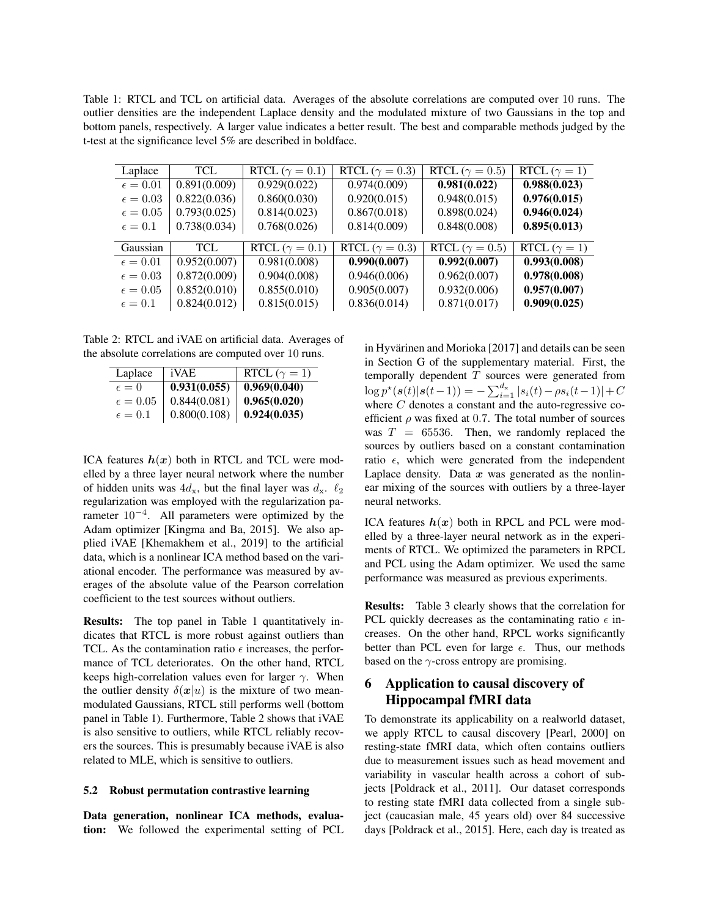Table 1: RTCL and TCL on artificial data. Averages of the absolute correlations are computed over 10 runs. The outlier densities are the independent Laplace density and the modulated mixture of two Gaussians in the top and bottom panels, respectively. A larger value indicates a better result. The best and comparable methods judged by the t-test at the significance level 5% are described in boldface.

| Laplace           | <b>TCL</b>   | RTCL ( $\gamma = 0.1$ ) | RTCL ( $\gamma = 0.3$ ) | RTCL ( $\gamma = 0.5$ ) | RTCL ( $\gamma = 1$ ) |
|-------------------|--------------|-------------------------|-------------------------|-------------------------|-----------------------|
| $\epsilon = 0.01$ | 0.891(0.009) | 0.929(0.022)            | 0.974(0.009)            | 0.981(0.022)            | 0.988(0.023)          |
| $\epsilon = 0.03$ | 0.822(0.036) | 0.860(0.030)            | 0.920(0.015)            | 0.948(0.015)            | 0.976(0.015)          |
| $\epsilon = 0.05$ | 0.793(0.025) | 0.814(0.023)            | 0.867(0.018)            | 0.898(0.024)            | 0.946(0.024)          |
| $\epsilon = 0.1$  | 0.738(0.034) | 0.768(0.026)            | 0.814(0.009)            | 0.848(0.008)            | 0.895(0.013)          |
|                   |              |                         |                         |                         |                       |
| Gaussian          | TCL          | RTCL ( $\gamma = 0.1$ ) | RTCL ( $\gamma = 0.3$ ) | RTCL ( $\gamma = 0.5$ ) | RTCL ( $\gamma = 1$ ) |
| $\epsilon = 0.01$ | 0.952(0.007) | 0.981(0.008)            | 0.990(0.007)            | 0.992(0.007)            | 0.993(0.008)          |
| $\epsilon = 0.03$ | 0.872(0.009) | 0.904(0.008)            | 0.946(0.006)            | 0.962(0.007)            | 0.978(0.008)          |
| $\epsilon = 0.05$ | 0.852(0.010) | 0.855(0.010)            | 0.905(0.007)            | 0.932(0.006)            | 0.957(0.007)          |
| $\epsilon = 0.1$  | 0.824(0.012) | 0.815(0.015)            | 0.836(0.014)            | 0.871(0.017)            | 0.909(0.025)          |

Table 2: RTCL and iVAE on artificial data. Averages of the absolute correlations are computed over 10 runs.

| Laplace           | iVAE         | RTCL ( $\gamma = 1$ ) |
|-------------------|--------------|-----------------------|
| $\epsilon=0$      | 0.931(0.055) | 0.969(0.040)          |
| $\epsilon = 0.05$ | 0.844(0.081) | 0.965(0.020)          |
| $\epsilon=0.1$    | 0.800(0.108) | 0.924(0.035)          |

ICA features  $h(x)$  both in RTCL and TCL were modelled by a three layer neural network where the number of hidden units was  $4d_{x}$ , but the final layer was  $d_{x}$ .  $\ell_2$ regularization was employed with the regularization parameter  $10^{-4}$ . All parameters were optimized by the Adam optimizer [Kingma and Ba, 2015]. We also applied iVAE [Khemakhem et al., 2019] to the artificial data, which is a nonlinear ICA method based on the variational encoder. The performance was measured by averages of the absolute value of the Pearson correlation coefficient to the test sources without outliers.

Results: The top panel in Table 1 quantitatively indicates that RTCL is more robust against outliers than TCL. As the contamination ratio  $\epsilon$  increases, the performance of TCL deteriorates. On the other hand, RTCL keeps high-correlation values even for larger  $\gamma$ . When the outlier density  $\delta(x|u)$  is the mixture of two meanmodulated Gaussians, RTCL still performs well (bottom panel in Table 1). Furthermore, Table 2 shows that iVAE is also sensitive to outliers, while RTCL reliably recovers the sources. This is presumably because iVAE is also related to MLE, which is sensitive to outliers.

### 5.2 Robust permutation contrastive learning

Data generation, nonlinear ICA methods, evaluation: We followed the experimental setting of PCL in Hyvärinen and Morioka [2017] and details can be seen in Section G of the supplementary material. First, the temporally dependent  $T$  sources were generated from  $\log p^{\star}(\boldsymbol{s}(t)|\boldsymbol{s}(t-1)) = -\sum_{i=1}^{d_{\mathrm{x}}} |s_i(t)-\rho s_i(t-1)| + C$ where  $C$  denotes a constant and the auto-regressive coefficient  $\rho$  was fixed at 0.7. The total number of sources was  $T = 65536$ . Then, we randomly replaced the sources by outliers based on a constant contamination ratio  $\epsilon$ , which were generated from the independent Laplace density. Data  $x$  was generated as the nonlinear mixing of the sources with outliers by a three-layer neural networks.

ICA features  $h(x)$  both in RPCL and PCL were modelled by a three-layer neural network as in the experiments of RTCL. We optimized the parameters in RPCL and PCL using the Adam optimizer. We used the same performance was measured as previous experiments.

Results: Table 3 clearly shows that the correlation for PCL quickly decreases as the contaminating ratio  $\epsilon$  increases. On the other hand, RPCL works significantly better than PCL even for large  $\epsilon$ . Thus, our methods based on the  $\gamma$ -cross entropy are promising.

# 6 Application to causal discovery of Hippocampal fMRI data

To demonstrate its applicability on a realworld dataset, we apply RTCL to causal discovery [Pearl, 2000] on resting-state fMRI data, which often contains outliers due to measurement issues such as head movement and variability in vascular health across a cohort of subjects [Poldrack et al., 2011]. Our dataset corresponds to resting state fMRI data collected from a single subject (caucasian male, 45 years old) over 84 successive days [Poldrack et al., 2015]. Here, each day is treated as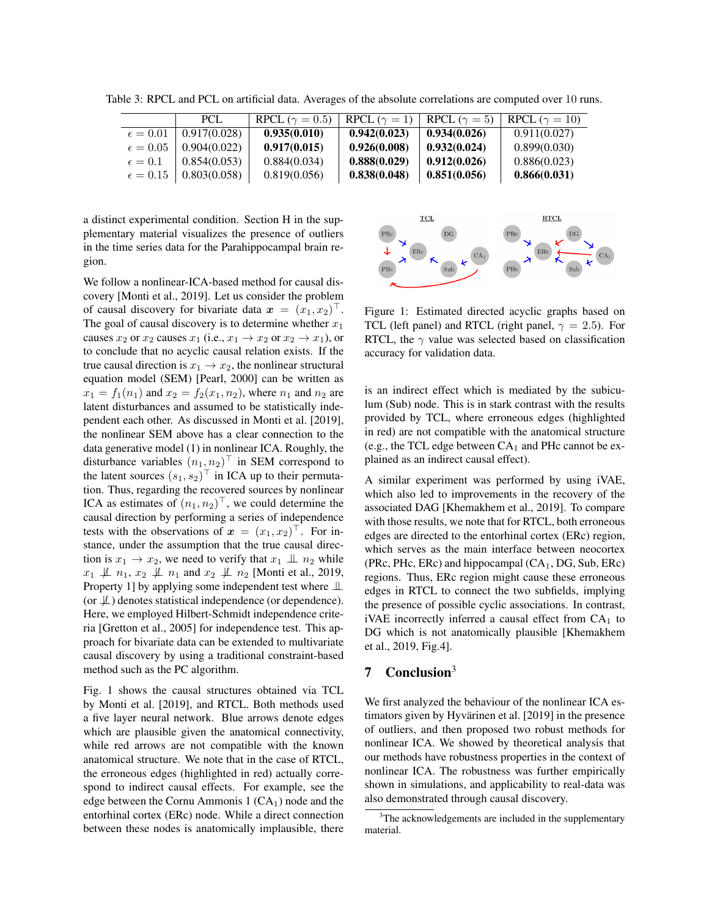| Table 3: RPCL and PCL on artificial data. Averages of the absolute correlations are computed over 10 runs. |  |  |
|------------------------------------------------------------------------------------------------------------|--|--|
|------------------------------------------------------------------------------------------------------------|--|--|

|                   | <b>PCL</b>   | RPCL ( $\gamma = 0.5$ ) | RPCL $(\gamma = 1)$ | RPCL ( $\gamma = 5$ ) | RPCL ( $\gamma = 10$ ) |
|-------------------|--------------|-------------------------|---------------------|-----------------------|------------------------|
| $\epsilon = 0.01$ | 0.917(0.028) | 0.935(0.010)            | 0.942(0.023)        | 0.934(0.026)          | 0.911(0.027)           |
| $\epsilon = 0.05$ | 0.904(0.022) | 0.917(0.015)            | 0.926(0.008)        | 0.932(0.024)          | 0.899(0.030)           |
| $\epsilon = 0.1$  | 0.854(0.053) | 0.884(0.034)            | 0.888(0.029)        | 0.912(0.026)          | 0.886(0.023)           |
| $\epsilon = 0.15$ | 0.803(0.058) | 0.819(0.056)            | 0.838(0.048)        | 0.851(0.056)          | 0.866(0.031)           |

a distinct experimental condition. Section H in the supplementary material visualizes the presence of outliers in the time series data for the Parahippocampal brain region.

We follow a nonlinear-ICA-based method for causal discovery [Monti et al., 2019]. Let us consider the problem of causal discovery for bivariate data  $\mathbf{x} = (x_1, x_2)^\top$ . The goal of causal discovery is to determine whether  $x_1$ causes  $x_2$  or  $x_2$  causes  $x_1$  (i.e.,  $x_1 \rightarrow x_2$  or  $x_2 \rightarrow x_1$ ), or to conclude that no acyclic causal relation exists. If the true causal direction is  $x_1 \rightarrow x_2$ , the nonlinear structural equation model (SEM) [Pearl, 2000] can be written as  $x_1 = f_1(n_1)$  and  $x_2 = f_2(x_1, n_2)$ , where  $n_1$  and  $n_2$  are latent disturbances and assumed to be statistically independent each other. As discussed in Monti et al. [2019], the nonlinear SEM above has a clear connection to the data generative model (1) in nonlinear ICA. Roughly, the disturbance variables  $(n_1, n_2)$ <sup>T</sup> in SEM correspond to the latent sources  $(s_1, s_2)^\top$  in ICA up to their permutation. Thus, regarding the recovered sources by nonlinear ICA as estimates of  $(n_1, n_2)^\top$ , we could determine the causal direction by performing a series of independence tests with the observations of  $x = (x_1, x_2)^\top$ . For instance, under the assumption that the true causal direction is  $x_1 \rightarrow x_2$ , we need to verify that  $x_1 \perp x_2$  while  $x_1 \not\perp n_1, x_2 \not\perp n_1$  and  $x_2 \not\perp n_2$  [Monti et al., 2019, Property 1] by applying some independent test where ⊥⊥ (or  $\perp$ ) denotes statistical independence (or dependence). Here, we employed Hilbert-Schmidt independence criteria [Gretton et al., 2005] for independence test. This approach for bivariate data can be extended to multivariate causal discovery by using a traditional constraint-based method such as the PC algorithm.

Fig. 1 shows the causal structures obtained via TCL by Monti et al. [2019], and RTCL. Both methods used a five layer neural network. Blue arrows denote edges which are plausible given the anatomical connectivity, while red arrows are not compatible with the known anatomical structure. We note that in the case of RTCL, the erroneous edges (highlighted in red) actually correspond to indirect causal effects. For example, see the edge between the Cornu Ammonis  $1$  (CA<sub>1</sub>) node and the entorhinal cortex (ERc) node. While a direct connection between these nodes is anatomically implausible, there



Figure 1: Estimated directed acyclic graphs based on TCL (left panel) and RTCL (right panel,  $\gamma = 2.5$ ). For RTCL, the  $\gamma$  value was selected based on classification accuracy for validation data.

is an indirect effect which is mediated by the subiculum (Sub) node. This is in stark contrast with the results provided by TCL, where erroneous edges (highlighted in red) are not compatible with the anatomical structure (e.g., the TCL edge between  $CA<sub>1</sub>$  and PHc cannot be explained as an indirect causal effect).

A similar experiment was performed by using iVAE, which also led to improvements in the recovery of the associated DAG [Khemakhem et al., 2019]. To compare with those results, we note that for RTCL, both erroneous edges are directed to the entorhinal cortex (ERc) region, which serves as the main interface between neocortex (PRc, PHc, ERc) and hippocampal  $(CA_1, DG, Sub, ERc)$ regions. Thus, ERc region might cause these erroneous edges in RTCL to connect the two subfields, implying the presence of possible cyclic associations. In contrast, iVAE incorrectly inferred a causal effect from  $CA<sub>1</sub>$  to DG which is not anatomically plausible [Khemakhem et al., 2019, Fig.4].

# 7 Conclusion<sup>3</sup>

We first analyzed the behaviour of the nonlinear ICA estimators given by Hyvärinen et al. [2019] in the presence of outliers, and then proposed two robust methods for nonlinear ICA. We showed by theoretical analysis that our methods have robustness properties in the context of nonlinear ICA. The robustness was further empirically shown in simulations, and applicability to real-data was also demonstrated through causal discovery.

<sup>&</sup>lt;sup>3</sup>The acknowledgements are included in the supplementary material.